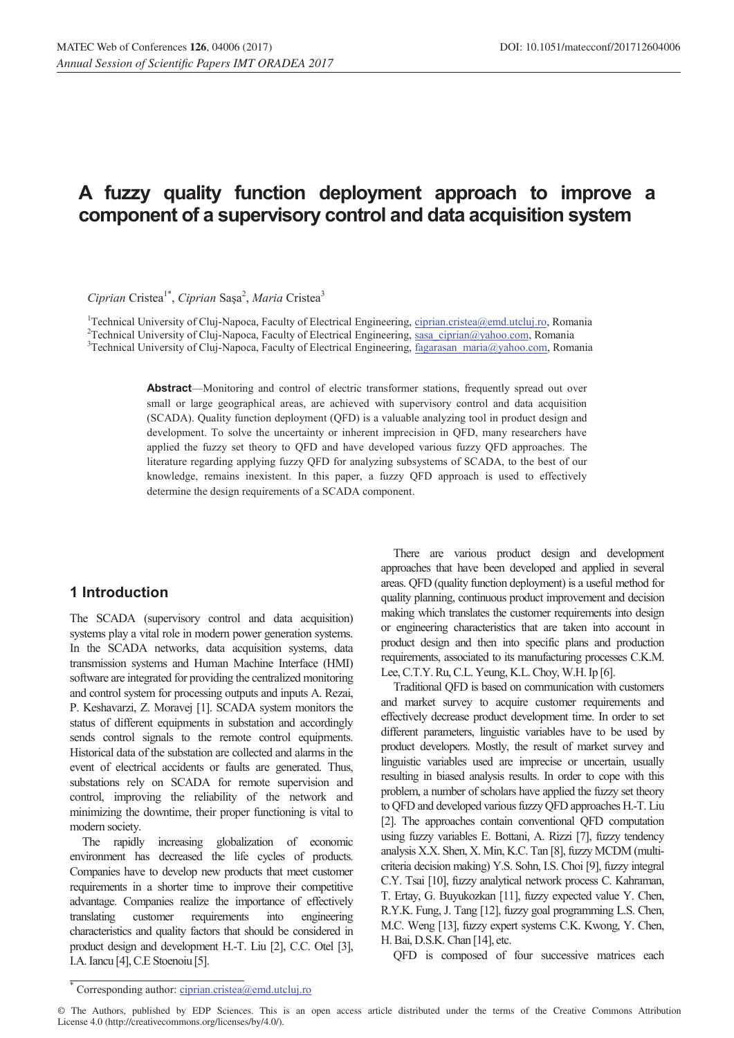# **A fuzzy quality function deployment approach to improve a component of a supervisory control and data acquisition system**

Ciprian Cristea<sup>1\*</sup>, Ciprian Sașa<sup>2</sup>, Maria Cristea<sup>3</sup>

<sup>1</sup>Technical University of Cluj-Napoca, Faculty of Electrical Engineering, ciprian.cristea@emd.utcluj.ro, Romania<br><sup>2</sup>Technical University of Cluj Napoca, Faculty of Electrical Engineering, case, ciprian@yahoo.com, Romania <sup>2</sup>Technical University of Cluj-Napoca, Faculty of Electrical Engineering, sasa\_ciprian@yahoo.com, Romania

 $3$ Technical University of Cluj-Napoca, Faculty of Electrical Engineering, fagarasan\_maria@yahoo.com, Romania

Abstract—Monitoring and control of electric transformer stations, frequently spread out over small or large geographical areas, are achieved with supervisory control and data acquisition (SCADA). Quality function deployment (QFD) is a valuable analyzing tool in product design and development. To solve the uncertainty or inherent imprecision in QFD, many researchers have applied the fuzzy set theory to QFD and have developed various fuzzy QFD approaches. The literature regarding applying fuzzy QFD for analyzing subsystems of SCADA, to the best of our knowledge, remains inexistent. In this paper, a fuzzy QFD approach is used to effectively determine the design requirements of a SCADA component.

## **1 Introduction**

The SCADA (supervisory control and data acquisition) systems play a vital role in modern power generation systems. In the SCADA networks, data acquisition systems, data transmission systems and Human Machine Interface (HMI) software are integrated for providing the centralized monitoring and control system for processing outputs and inputs A. Rezai, P. Keshavarzi, Z. Moravej [1]. SCADA system monitors the status of different equipments in substation and accordingly sends control signals to the remote control equipments. Historical data of the substation are collected and alarms in the event of electrical accidents or faults are generated. Thus, substations rely on SCADA for remote supervision and control, improving the reliability of the network and minimizing the downtime, their proper functioning is vital to modern society.

The rapidly increasing globalization of economic environment has decreased the life cycles of products. Companies have to develop new products that meet customer requirements in a shorter time to improve their competitive advantage. Companies realize the importance of effectively translating customer requirements into engineering characteristics and quality factors that should be considered in product design and development H.-T. Liu [2], C.C. Otel [3], I.A. Iancu [4], C.E Stoenoiu [5].

There are various product design and development approaches that have been developed and applied in several areas. QFD (quality function deployment) is a useful method for quality planning, continuous product improvement and decision making which translates the customer requirements into design or engineering characteristics that are taken into account in product design and then into specific plans and production requirements, associated to its manufacturing processes C.K.M. Lee, C.T.Y. Ru, C.L. Yeung, K.L. Choy, W.H. Ip [6].

Traditional QFD is based on communication with customers and market survey to acquire customer requirements and effectively decrease product development time. In order to set different parameters, linguistic variables have to be used by product developers. Mostly, the result of market survey and linguistic variables used are imprecise or uncertain, usually resulting in biased analysis results. In order to cope with this problem, a number of scholars have applied the fuzzy set theory to QFD and developed various fuzzy QFD approaches H.-T. Liu [2]. The approaches contain conventional QFD computation using fuzzy variables E. Bottani, A. Rizzi [7], fuzzy tendency analysis X.X. Shen, X. Min, K.C. Tan [8], fuzzy MCDM (multicriteria decision making) Y.S. Sohn, I.S. Choi [9], fuzzy integral C.Y. Tsai [10], fuzzy analytical network process C. Kahraman, T. Ertay, G. Buyukozkan [11], fuzzy expected value Y. Chen, R.Y.K. Fung, J. Tang [12], fuzzy goal programming L.S. Chen, M.C. Weng [13], fuzzy expert systems C.K. Kwong, Y. Chen, H. Bai, D.S.K. Chan [14], etc.

QFD is composed of four successive matrices each

<sup>\*</sup> Corresponding author: ciprian.cristea@emd.utcluj.ro

<sup>©</sup> The Authors, published by EDP Sciences. This is an open access article distributed under the terms of the Creative Commons Attribution License 4.0 (http://creativecommons.org/licenses/by/4.0/).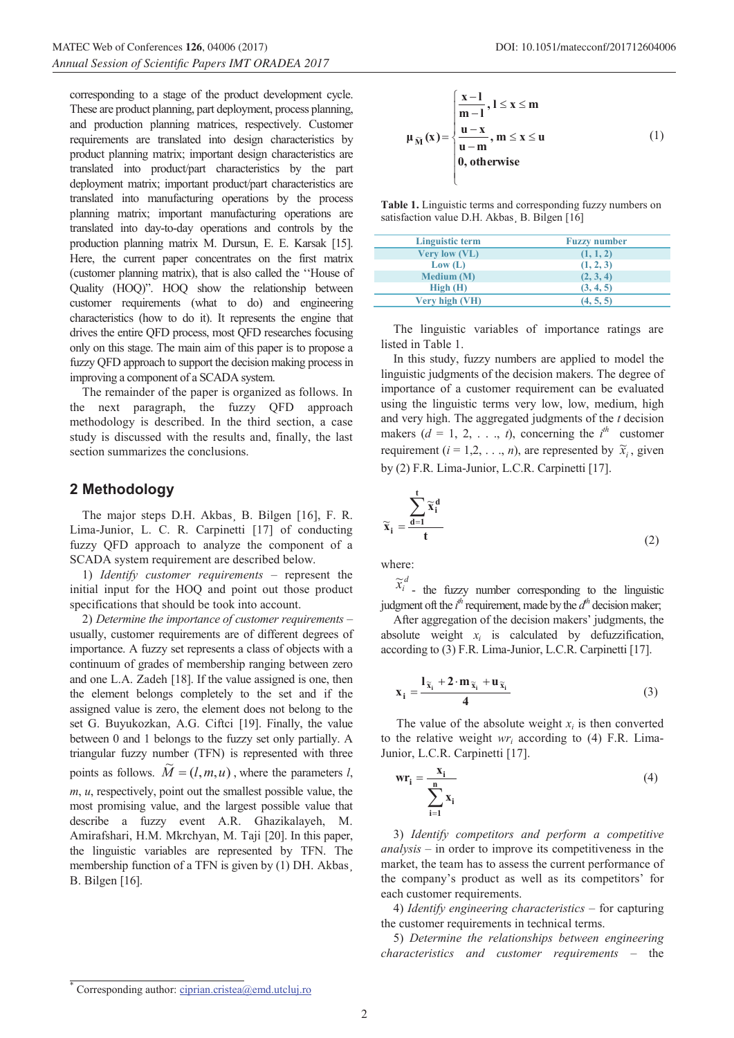corresponding to a stage of the product development cycle. These are product planning, part deployment, process planning, and production planning matrices, respectively. Customer requirements are translated into design characteristics by product planning matrix; important design characteristics are translated into product/part characteristics by the part deployment matrix; important product/part characteristics are translated into manufacturing operations by the process planning matrix; important manufacturing operations are translated into day-to-day operations and controls by the production planning matrix M. Dursun, E. E. Karsak [15]. Here, the current paper concentrates on the first matrix (customer planning matrix), that is also called the ''House of Quality (HOQ)". HOQ show the relationship between customer requirements (what to do) and engineering characteristics (how to do it). It represents the engine that drives the entire QFD process, most QFD researches focusing only on this stage. The main aim of this paper is to propose a fuzzy QFD approach to support the decision making process in improving a component of a SCADA system.

The remainder of the paper is organized as follows. In the next paragraph, the fuzzy QFD approach methodology is described. In the third section, a case study is discussed with the results and, finally, the last section summarizes the conclusions.

## **2 Methodology**

The major steps D.H. Akbas, B. Bilgen [16], F. R. Lima-Junior, L. C. R. Carpinetti [17] of conducting fuzzy QFD approach to analyze the component of a SCADA system requirement are described below.

1) *Identify customer requirements* – represent the initial input for the HOQ and point out those product specifications that should be took into account.

2) *Determine the importance of customer requirements* – usually, customer requirements are of different degrees of importance. A fuzzy set represents a class of objects with a continuum of grades of membership ranging between zero and one L.A. Zadeh [18]. If the value assigned is one, then the element belongs completely to the set and if the assigned value is zero, the element does not belong to the set G. Buyukozkan, A.G. Ciftci [19]. Finally, the value between 0 and 1 belongs to the fuzzy set only partially. A triangular fuzzy number (TFN) is represented with three points as follows.  $\widetilde{M} = (l, m, u)$ , where the parameters *l*, *m*, *u*, respectively, point out the smallest possible value, the most promising value, and the largest possible value that describe a fuzzy event A.R. Ghazikalayeh, M. Amirafshari, H.M. Mkrchyan, M. Taji [20]. In this paper, the linguistic variables are represented by TFN. The membership function of a TFN is given by (1) DH. Akbas B. Bilgen [16].

$$
\mu_{\tilde{M}}(x) = \begin{cases}\n\frac{x-1}{m-1}, 1 \le x \le m \\
\frac{u-x}{u-m}, m \le x \le u \\
0, \text{ otherwise} \n\end{cases}
$$
\n(1)

**Table 1.** Linguistic terms and corresponding fuzzy numbers on satisfaction value D.H. Akbas, B. Bilgen [16]

| Linguistic term       | <b>Fuzzy number</b> |
|-----------------------|---------------------|
| <b>Very low (VL)</b>  | (1, 1, 2)           |
| Low (L)               | (1, 2, 3)           |
| <b>Medium (M)</b>     | (2, 3, 4)           |
| High(H)               | (3, 4, 5)           |
| <b>Very high (VH)</b> | (4, 5, 5)           |

The linguistic variables of importance ratings are listed in Table 1.

In this study, fuzzy numbers are applied to model the linguistic judgments of the decision makers. The degree of importance of a customer requirement can be evaluated using the linguistic terms very low, low, medium, high and very high. The aggregated judgments of the *t* decision makers  $(d = 1, 2, \ldots, t)$ , concerning the  $i^{th}$  customer requirement ( $i = 1, 2, ..., n$ ), are represented by  $\tilde{x}_i$ , given by (2) F.R. Lima-Junior, L.C.R. Carpinetti [17].

$$
\widetilde{\mathbf{x}}_i = \frac{\sum_{d=1}^t \widetilde{\mathbf{x}}_i^d}{t}
$$
 (2)

where:

 $\widetilde{\mathbf{x}}_i^d$  - the fuzzy number corresponding to the linguistic judgment oft the  $i^h$  requirement, made by the  $d^h$  decision maker;

After aggregation of the decision makers' judgments, the absolute weight  $x_i$  is calculated by defuzzification, according to (3) F.R. Lima-Junior, L.C.R. Carpinetti [17].

$$
\mathbf{x}_{i} = \frac{\mathbf{l}_{\widetilde{\mathbf{x}}_{i}} + 2 \cdot \mathbf{m}_{\widetilde{\mathbf{x}}_{i}} + \mathbf{u}_{\widetilde{\mathbf{x}}_{i}}}{4}
$$
(3)

The value of the absolute weight  $x_i$  is then converted to the relative weight  $wr_i$  according to (4) F.R. Lima-Junior, L.C.R. Carpinetti [17].

$$
\mathbf{wr}_{i} = \frac{\mathbf{x}_{i}}{\sum_{i=1}^{n} \mathbf{x}_{i}}
$$
(4)

3) *Identify competitors and perform a competitive analysis* – in order to improve its competitiveness in the market, the team has to assess the current performance of the company's product as well as its competitors' for each customer requirements.

4) *Identify engineering characteristics* – for capturing the customer requirements in technical terms.

5) *Determine the relationships between engineering characteristics and customer requirements* – the

<sup>\*</sup> Corresponding author: ciprian.cristea@emd.utcluj.ro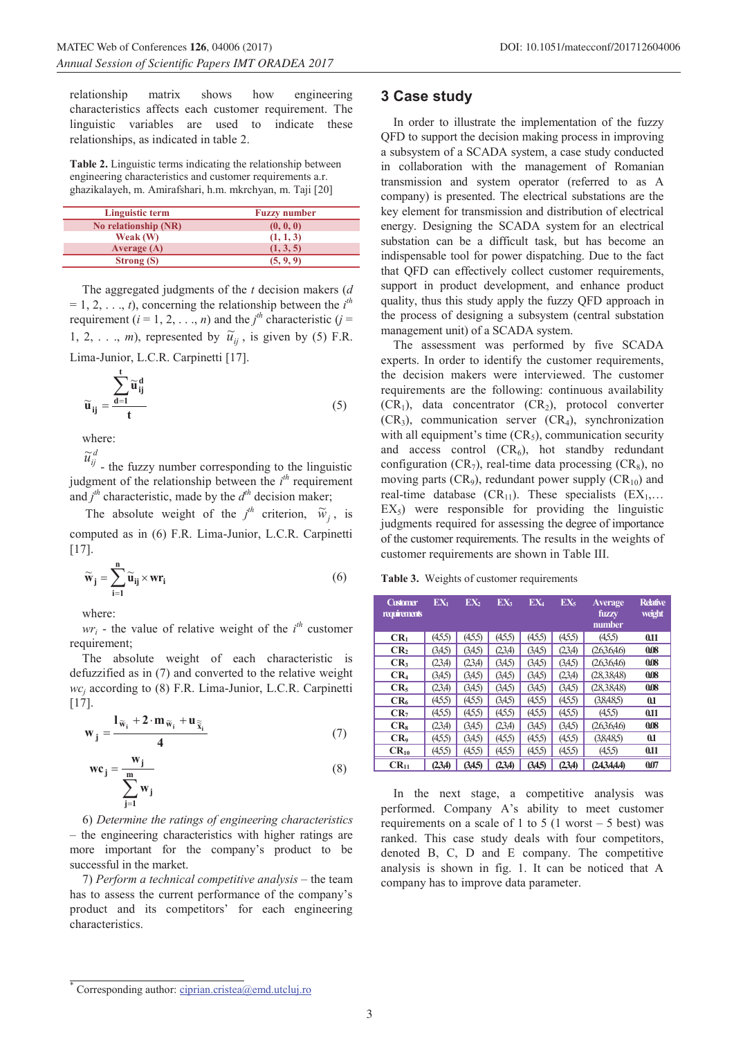relationship matrix shows how engineering characteristics affects each customer requirement. The linguistic variables are used to indicate these relationships, as indicated in table 2.

**Table 2.** Linguistic terms indicating the relationship between engineering characteristics and customer requirements a.r. ghazikalayeh, m. Amirafshari, h.m. mkrchyan, m. Taji [20]

| Linguistic term      | <b>Fuzzy number</b> |
|----------------------|---------------------|
| No relationship (NR) | (0, 0, 0)           |
| Weak (W)             | (1, 1, 3)           |
| Average $(A)$        | (1, 3, 5)           |
| Strong (S)           | (5, 9, 9)           |

The aggregated judgments of the *t* decision makers (*d*   $= 1, 2, \ldots, t$ , concerning the relationship between the *i*<sup>th</sup> requirement ( $i = 1, 2, \ldots, n$ ) and the  $j<sup>th</sup>$  characteristic ( $j =$ 1, 2, . . ., *m*), represented by  $\tilde{u}_{ij}$ , is given by (5) F.R. Lima-Junior, L.C.R. Carpinetti [17].

$$
\widetilde{u}_{ij} = \frac{\sum_{d=1}^{t} \widetilde{u}_{ij}^d}{t}
$$
\n(5)

where:

 $\widetilde{u}^d_{ij}$ 

- the fuzzy number corresponding to the linguistic judgment of the relationship between the  $i<sup>th</sup>$  requirement and  $j<sup>th</sup>$  characteristic, made by the  $d<sup>th</sup>$  decision maker;

The absolute weight of the  $j<sup>th</sup>$  criterion,  $\widetilde{w}_j$ , is computed as in (6) F.R. Lima-Junior, L.C.R. Carpinetti [17].

$$
\widetilde{\mathbf{w}}_{j} = \sum_{i=1}^{n} \widetilde{\mathbf{u}}_{ij} \times \mathbf{w} \mathbf{r}_{i}
$$
 (6)

where:

 $wr_i$  - the value of relative weight of the  $i^{th}$  customer requirement;

The absolute weight of each characteristic is defuzzified as in (7) and converted to the relative weight *wcj* according to (8) F.R. Lima-Junior, L.C.R. Carpinetti  $[17]$ .

$$
\mathbf{w}_{j} = \frac{\mathbf{1}_{\widetilde{\mathbf{w}}_{i}} + 2 \cdot \mathbf{m}_{\widetilde{\mathbf{w}}_{i}} + \mathbf{u}_{\widetilde{\mathbf{x}}_{i}}}{4}
$$
(7)

$$
\mathbf{wc}_{j} = \frac{\mathbf{w}_{j}}{\sum_{j=1}^{m} \mathbf{w}_{j}}
$$
(8)

6) *Determine the ratings of engineering characteristics* – the engineering characteristics with higher ratings are more important for the company's product to be successful in the market.

7) *Perform a technical competitive analysis* – the team has to assess the current performance of the company's product and its competitors' for each engineering characteristics.

### **3 Case study**

In order to illustrate the implementation of the fuzzy QFD to support the decision making process in improving a subsystem of a SCADA system, a case study conducted in collaboration with the management of Romanian transmission and system operator (referred to as A company) is presented. The electrical substations are the key element for transmission and distribution of electrical energy. Designing the SCADA system for an electrical substation can be a difficult task, but has become an indispensable tool for power dispatching. Due to the fact that QFD can effectively collect customer requirements, support in product development, and enhance product quality, thus this study apply the fuzzy QFD approach in the process of designing a subsystem (central substation management unit) of a SCADA system.

The assessment was performed by five SCADA experts. In order to identify the customer requirements, the decision makers were interviewed. The customer requirements are the following: continuous availability  $(CR_1)$ , data concentrator  $(CR_2)$ , protocol converter  $(CR<sub>3</sub>)$ , communication server  $(CR<sub>4</sub>)$ , synchronization with all equipment's time  $(CR_5)$ , communication security and access control  $(CR_6)$ , hot standby redundant configuration (CR<sub>7</sub>), real-time data processing (CR<sub>8</sub>), no moving parts  $(CR_9)$ , redundant power supply  $(CR_{10})$  and real-time database  $(CR_{11})$ . These specialists  $(EX_1, \ldots$  $EX_5$ ) were responsible for providing the linguistic judgments required for assessing the degree of importance of the customer requirements. The results in the weights of customer requirements are shown in Table III.

**Table 3.** Weights of customer requirements

| <b>Customer</b><br>requirements | EX <sub>1</sub> | EX <sub>2</sub> | EX,     | $EX_4$  | EX <sub>5</sub> | <b>Average</b><br>fuzzy<br>number | <b>Relative</b><br>weight |
|---------------------------------|-----------------|-----------------|---------|---------|-----------------|-----------------------------------|---------------------------|
| CR <sub>1</sub>                 | (4,5,5)         | (4,5,5)         | (4,5,5) | (4,5,5) | (4,5,5)         | (4,5,5)                           | 0.11                      |
| CR <sub>2</sub>                 | (3,4,5)         | (3,4,5)         | (23,4)  | (3,4,5) | (2,3,4)         | (2.63.64.6)                       | 0.08                      |
| CR <sub>3</sub>                 | (23,4)          | (2,3,4)         | (3,4,5) | (3,4,5) | (3,4,5)         | (2.63.64.6)                       | 0.08                      |
| CR <sub>4</sub>                 | (3,4,5)         | (3,4,5)         | (3,4,5) | (3,4,5) | (2,3,4)         | (28, 3.8, 4.8)                    | 0.08                      |
| CR <sub>5</sub>                 | (23,4)          | (3,4,5)         | (3,4,5) | (3,4,5) | (3,4,5)         | (2.8, 3.8, 4.8)                   | 0.08                      |
| CR <sub>6</sub>                 | (4,5,5)         | (4,5,5)         | (3,4,5) | (4,5,5) | (4,5,5)         | (3,8,4.8,5)                       | 0.1                       |
| CR <sub>7</sub>                 | (4,5,5)         | (4,5,5)         | (4,5,5) | (4,5,5) | (4,5,5)         | (4,5,5)                           | 0.11                      |
| CR <sub>s</sub>                 | (2,3,4)         | (3,4,5)         | (23,4)  | (3,4,5) | (3,4,5)         | (2.63.64.6)                       | 0.08                      |
| CR <sub>9</sub>                 | (4,5,5)         | (3,4,5)         | (4,5,5) | (4,5,5) | (4,5,5)         | (3,8,4.8,5)                       | 0.1                       |
| $CR_{10}$                       | (4,5,5)         | (4,5,5)         | (45,5)  | (4,5,5) | (4,5,5)         | (4,5,5)                           | 0.11                      |
| CR <sub>11</sub>                | (2,3,4)         | (3,4,5)         | (23,4)  | (3,4,5) | (2,3,4)         | (2.43.44.4)                       | 0.07                      |

In the next stage, a competitive analysis was performed. Company A's ability to meet customer requirements on a scale of 1 to 5 (1 worst  $-$  5 best) was ranked. This case study deals with four competitors, denoted B, C, D and E company. The competitive analysis is shown in fig. 1. It can be noticed that A company has to improve data parameter.

Corresponding author: ciprian.cristea@emd.utcluj.ro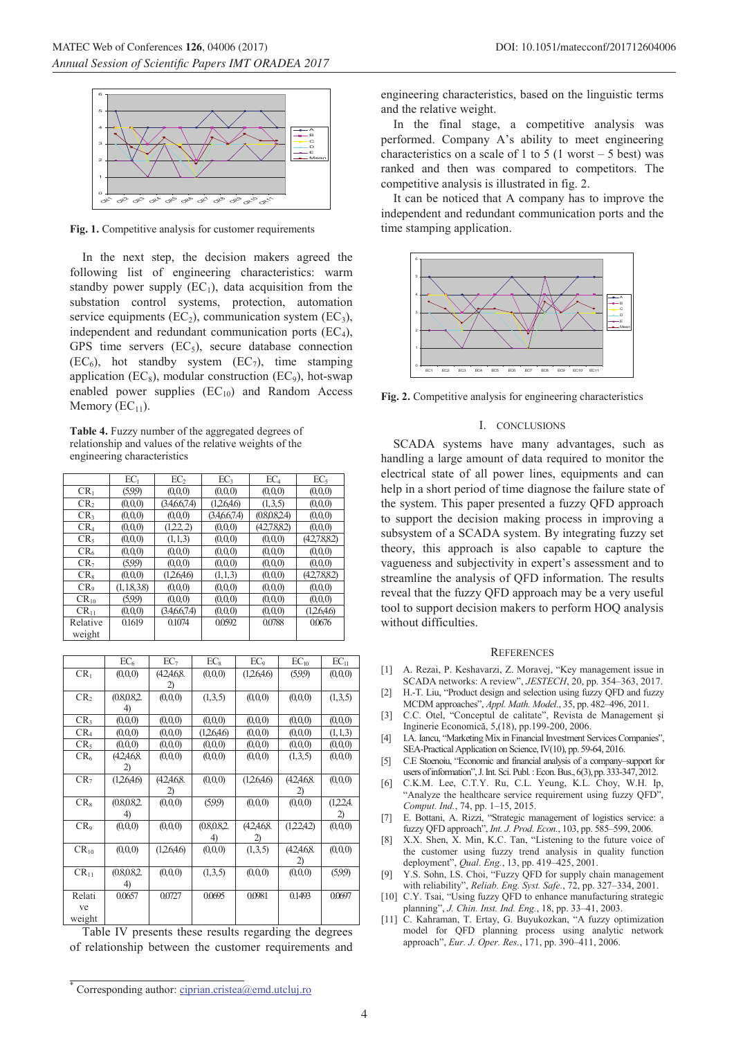

**Fig. 1.** Competitive analysis for customer requirements

In the next step, the decision makers agreed the following list of engineering characteristics: warm standby power supply  $(EC_1)$ , data acquisition from the substation control systems, protection, automation service equipments  $(EC_2)$ , communication system  $(EC_3)$ , independent and redundant communication ports  $(EC_4)$ , GPS time servers  $(EC_5)$ , secure database connection  $(EC_6)$ , hot standby system  $(EC_7)$ , time stamping application ( $EC_8$ ), modular construction ( $EC_9$ ), hot-swap enabled power supplies  $(EC_{10})$  and Random Access Memory  $(EC_{11})$ .

**Table 4.** Fuzzy number of the aggregated degrees of relationship and values of the relative weights of the engineering characteristics

|                 | EC <sub>1</sub> | EC,             | EC <sub>3</sub> | EC <sub>4</sub> | EC,          |
|-----------------|-----------------|-----------------|-----------------|-----------------|--------------|
| CR <sub>1</sub> | (5,9,9)         | (0,0,0)         | (0,0,0)         | (0,0,0)         | (0,0,0)      |
| CR <sub>2</sub> | (0,0,0)         | (3.4, 6.6, 7.4) | (1264.6)        | (1,3,5)         | (0,0,0)      |
| CR <sub>3</sub> | (0,0,0)         | (0,0,0)         | (3.4, 6.6, 7.4) | (0.8, 0.8, 2.4) | (0,0,0)      |
| CR <sub>4</sub> | (0,0,0)         | (1,22,2)        | (0,0,0)         | (42,7.8,8.2)    | (0,0,0)      |
| CR <sub>5</sub> | (0,0,0)         | (1,1,3)         | (0,0,0)         | (0,0,0)         | (42,7.8,8.2) |
| CR <sub>6</sub> | (0,0,0)         | (0,0,0)         | (0,0,0)         | (0,0,0)         | (0,0,0)      |
| CR <sub>7</sub> | (5.99)          | (0,0,0)         | (0,0,0)         | (0,0,0)         | (0,0,0)      |
| $CR_8$          | (0,0,0)         | (126.46)        | (1, 1, 3)       | (0,0,0)         | (427.882)    |
| CR <sub>9</sub> | (1, 1.8, 3.8)   | (0,0,0)         | (0,0,0)         | (0,0,0)         | (0,0,0)      |
| $CR_{10}$       | (5,9,9)         | (0,0,0)         | (0,0,0)         | (0,0,0)         | (0,0,0)      |
| $CR_{11}$       | (0,0,0)         | (3.4, 6.6, 7.4) | (0,0,0)         | (0,0,0)         | (1,2.6,4.6)  |
| Relative        | 0.1619          | 0.1074          | 0.0592          | 0.0788          | 0.0676       |
| weight          |                 |                 |                 |                 |              |

|                 | EC <sub>6</sub> | EC <sub>7</sub> | $EC_8$        | EC <sub>9</sub> | $EC_{10}$    | EC <sub>11</sub> |
|-----------------|-----------------|-----------------|---------------|-----------------|--------------|------------------|
| CR <sub>1</sub> | (0,0,0)         | (4.2, 4.6, 8.   | (0,0,0)       | (1,26,4.6)      | (5,9,9)      | (0,0,0)          |
|                 |                 | 2)              |               |                 |              |                  |
| CR <sub>2</sub> |                 | (0,0,0)         | (1,3,5)       | (0,0,0)         | (0,0,0)      | (1,3,5)          |
|                 | 4)              |                 |               |                 |              |                  |
| CR <sub>3</sub> | (0,0,0)         | (0,0,0)         | (0,0,0)       | (0,0,0)         | (0,0,0)      | (0,0,0)          |
| CR <sub>4</sub> | (0,0,0)         | (0,0,0)         | (12.64.6)     | (0,0,0)         | (0,0,0)      | (1,1,3)          |
| CR <sub>5</sub> | (0,0,0)         | (0,0,0)         | (0,0,0)       | (0,0,0)         | (0,0,0)      | (0,0,0)          |
| CR <sub>6</sub> | (4.2, 4.6, 8.   | (0,0,0)         | (0,0,0)       | (0,0,0)         | (1,3,5)      | (0,0,0)          |
|                 | 2)              |                 |               |                 |              |                  |
| CR <sub>7</sub> | (1,26,4.6)      | (4.2, 4.6, 8.   | (0,0,0)       | (1,26,4.6)      | (42, 4.6, 8. | (0,0,0)          |
|                 |                 | 2)              |               |                 | 21           |                  |
| $CR_8$          | (0.8, 0.8, 2.   | (0,0,0)         | (5,9,9)       | (0,0,0)         | (0,0,0)      | (1,2,2,4)        |
|                 | 4)              |                 |               |                 |              | 2)               |
| CR <sub>9</sub> | (0,0,0)         | (0,0,0)         | (0.8, 0.8, 2. | (4.2, 4.6, 8.   | (1,2,2,4,2)  | (0,0,0)          |
|                 |                 |                 | 4)            | 2)              |              |                  |
| $CR_{10}$       | (0,0,0)         | (1,2.6,4.6)     | (0,0,0)       | (1,3,5)         | (42, 4.6, 8. | (0,0,0)          |
|                 |                 |                 |               |                 | 2)           |                  |
| $CR_{11}$       | (0.8, 0.8, 2.   | (0,0,0)         | (1,3,5)       | (0,0,0)         | (0,0,0)      | (5,9,9)          |
|                 | 41              |                 |               |                 |              |                  |
| Relati          | 0.0657          | 0.0727          | 0.0695        | 0.0981          | 0.1493       | 0.0697           |
| ve              |                 |                 |               |                 |              |                  |
| weight          |                 |                 |               |                 |              |                  |

Table IV presents these results regarding the degrees of relationship between the customer requirements and engineering characteristics, based on the linguistic terms and the relative weight.

In the final stage, a competitive analysis was performed. Company A's ability to meet engineering characteristics on a scale of 1 to 5 (1 worst  $-$  5 best) was ranked and then was compared to competitors. The competitive analysis is illustrated in fig. 2.

It can be noticed that A company has to improve the independent and redundant communication ports and the time stamping application.



**Fig. 2.** Competitive analysis for engineering characteristics

#### I. CONCLUSIONS

SCADA systems have many advantages, such as handling a large amount of data required to monitor the electrical state of all power lines, equipments and can help in a short period of time diagnose the failure state of the system. This paper presented a fuzzy QFD approach to support the decision making process in improving a subsystem of a SCADA system. By integrating fuzzy set theory, this approach is also capable to capture the vagueness and subjectivity in expert's assessment and to streamline the analysis of QFD information. The results reveal that the fuzzy QFD approach may be a very useful tool to support decision makers to perform HOQ analysis without difficulties.

#### **REFERENCES**

- [1] A. Rezai, P. Keshavarzi, Z. Moravej, "Key management issue in SCADA networks: A review", *JESTECH*, 20, pp. 354–363, 2017.
- [2] H.-T. Liu, "Product design and selection using fuzzy QFD and fuzzy MCDM approaches", *Appl. Math. Model.*, 35, pp. 482–496, 2011.
- [3] C.C. Otel, "Conceptul de calitate", Revista de Management şi Inginerie Economică, 5,(18), pp.199-200, 2006.
- [4] I.A. Iancu, "Marketing Mix in Financial Investment Services Companies", SEA-Practical Application on Science, IV(10), pp. 59-64, 2016.
- [5] C.E Stoenoiu, "Economic and financial analysis of a company–support for users of information", J. Int. Sci. Publ. : Econ. Bus., 6(3), pp. 333-347, 2012.
- [6] C.K.M. Lee, C.T.Y. Ru, C.L. Yeung, K.L. Choy, W.H. Ip, "Analyze the healthcare service requirement using fuzzy QFD", *Comput. Ind.*, 74, pp. 1–15, 2015.
- [7] E. Bottani, A. Rizzi, "Strategic management of logistics service: a fuzzy QFD approach", *Int. J. Prod. Econ.*, 103, pp. 585–599, 2006.
- [8] X.X. Shen, X. Min, K.C. Tan, "Listening to the future voice of the customer using fuzzy trend analysis in quality function deployment", *Qual. Eng.*, 13, pp. 419–425, 2001.
- [9] Y.S. Sohn, I.S. Choi, "Fuzzy QFD for supply chain management with reliability", *Reliab. Eng. Syst. Safe.*, 72, pp. 327–334, 2001.
- [10] C.Y. Tsai, "Using fuzzy QFD to enhance manufacturing strategic planning", *J. Chin. Inst. Ind. Eng.*, 18, pp. 33–41, 2003.
- [11] C. Kahraman, T. Ertay, G. Buyukozkan, "A fuzzy optimization model for QFD planning process using analytic network approach", *Eur. J. Oper. Res.*, 171, pp. 390–411, 2006.

<sup>\*</sup> Corresponding author: ciprian.cristea@emd.utcluj.ro